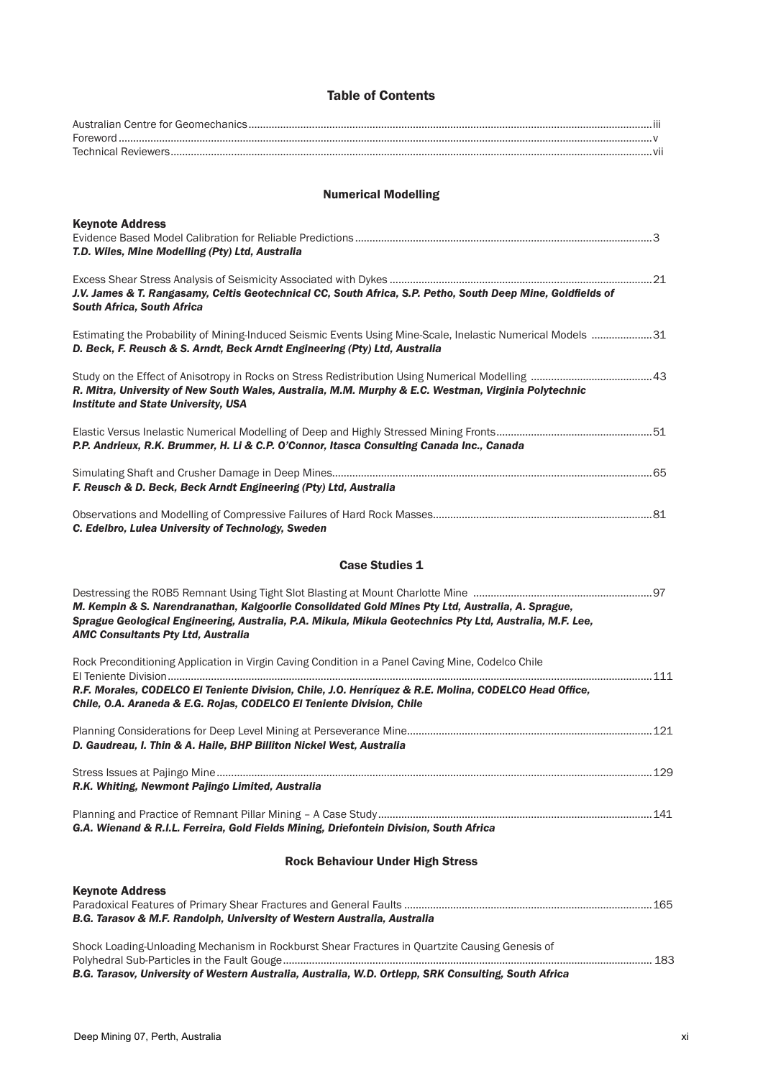## Table of Contents

| <b>Numerical Modelling</b>                                                                                                                                                                                                                                 |
|------------------------------------------------------------------------------------------------------------------------------------------------------------------------------------------------------------------------------------------------------------|
| <b>Keynote Address</b><br>T.D. Wiles, Mine Modelling (Pty) Ltd, Australia                                                                                                                                                                                  |
| J.V. James & T. Rangasamy, Celtis Geotechnical CC, South Africa, S.P. Petho, South Deep Mine, Goldfields of<br><b>South Africa, South Africa</b>                                                                                                           |
| Estimating the Probability of Mining-Induced Seismic Events Using Mine-Scale, Inelastic Numerical Models 31<br>D. Beck, F. Reusch & S. Arndt, Beck Arndt Engineering (Pty) Ltd, Australia                                                                  |
| R. Mitra, University of New South Wales, Australia, M.M. Murphy & E.C. Westman, Virginia Polytechnic<br><b>Institute and State University, USA</b>                                                                                                         |
| P.P. Andrieux, R.K. Brummer, H. Li & C.P. O'Connor, Itasca Consulting Canada Inc., Canada                                                                                                                                                                  |
| F. Reusch & D. Beck, Beck Arndt Engineering (Pty) Ltd, Australia                                                                                                                                                                                           |
| C. Edelbro, Lulea University of Technology, Sweden                                                                                                                                                                                                         |
| <b>Case Studies 1</b>                                                                                                                                                                                                                                      |
| M. Kempin & S. Narendranathan, Kalgoorlie Consolidated Gold Mines Pty Ltd, Australia, A. Sprague,<br>Sprague Geological Engineering, Australia, P.A. Mikula, Mikula Geotechnics Pty Ltd, Australia, M.F. Lee,<br><b>AMC Consultants Pty Ltd, Australia</b> |
| Rock Preconditioning Application in Virgin Caving Condition in a Panel Caving Mine, Codelco Chile                                                                                                                                                          |
| R.F. Morales, CODELCO El Teniente Division, Chile, J.O. Henríquez & R.E. Molina, CODELCO Head Office,<br>Chile, O.A. Araneda & E.G. Rojas, CODELCO El Teniente Division, Chile                                                                             |
| D. Gaudreau, I. Thin & A. Haile, BHP Billiton Nickel West, Australia                                                                                                                                                                                       |
| R.K. Whiting, Newmont Pajingo Limited, Australia                                                                                                                                                                                                           |
| G.A. Wienand & R.I.L. Ferreira, Gold Fields Mining, Driefontein Division, South Africa                                                                                                                                                                     |
| <b>Rock Behaviour Under High Stress</b>                                                                                                                                                                                                                    |

| <b>Keynote Address</b><br>B.G. Tarasov & M.F. Randolph, University of Western Australia, Australia                                                                                                     |     |
|--------------------------------------------------------------------------------------------------------------------------------------------------------------------------------------------------------|-----|
| Shock Loading-Unloading Mechanism in Rockburst Shear Fractures in Quartzite Causing Genesis of<br>B.G. Tarasov, University of Western Australia, Australia, W.D. Ortlepp, SRK Consulting, South Africa | 183 |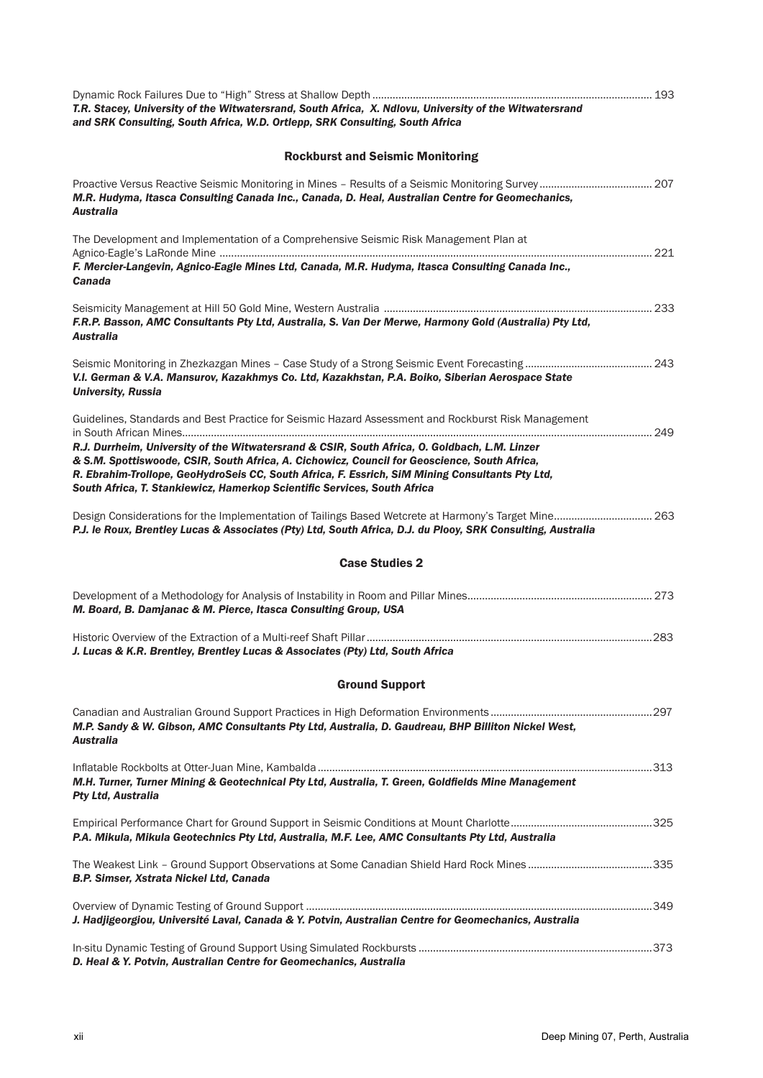| T.R. Stacey, University of the Witwatersrand, South Africa, X. Ndlovu, University of the Witwatersrand<br>and SRK Consulting, South Africa, W.D. Ortlepp, SRK Consulting, South Africa                                                                                                                                                                                       |  |
|------------------------------------------------------------------------------------------------------------------------------------------------------------------------------------------------------------------------------------------------------------------------------------------------------------------------------------------------------------------------------|--|
| <b>Rockburst and Seismic Monitoring</b>                                                                                                                                                                                                                                                                                                                                      |  |
| M.R. Hudyma, Itasca Consulting Canada Inc., Canada, D. Heal, Australian Centre for Geomechanics,<br><b>Australia</b>                                                                                                                                                                                                                                                         |  |
| The Development and Implementation of a Comprehensive Seismic Risk Management Plan at<br>F. Mercier-Langevin, Agnico-Eagle Mines Ltd, Canada, M.R. Hudyma, Itasca Consulting Canada Inc.,<br><b>Canada</b>                                                                                                                                                                   |  |
| F.R.P. Basson, AMC Consultants Pty Ltd, Australia, S. Van Der Merwe, Harmony Gold (Australia) Pty Ltd,<br><b>Australia</b>                                                                                                                                                                                                                                                   |  |
| V.I. German & V.A. Mansurov, Kazakhmys Co. Ltd, Kazakhstan, P.A. Boiko, Siberian Aerospace State<br><b>University, Russia</b>                                                                                                                                                                                                                                                |  |
| Guidelines, Standards and Best Practice for Seismic Hazard Assessment and Rockburst Risk Management                                                                                                                                                                                                                                                                          |  |
| R.J. Durrheim, University of the Witwatersrand & CSIR, South Africa, O. Goldbach, L.M. Linzer<br>& S.M. Spottiswoode, CSIR, South Africa, A. Cichowicz, Council for Geoscience, South Africa,<br>R. Ebrahim-Trollope, GeoHydroSeis CC, South Africa, F. Essrich, SiM Mining Consultants Pty Ltd,<br>South Africa, T. Stankiewicz, Hamerkop Scientific Services, South Africa |  |
| P.J. le Roux, Brentley Lucas & Associates (Pty) Ltd, South Africa, D.J. du Plooy, SRK Consulting, Australia                                                                                                                                                                                                                                                                  |  |
| <b>Case Studies 2</b>                                                                                                                                                                                                                                                                                                                                                        |  |
| M. Board, B. Damjanac & M. Pierce, Itasca Consulting Group, USA                                                                                                                                                                                                                                                                                                              |  |
| J. Lucas & K.R. Brentley, Brentley Lucas & Associates (Pty) Ltd, South Africa                                                                                                                                                                                                                                                                                                |  |
| <b>Ground Support</b>                                                                                                                                                                                                                                                                                                                                                        |  |
| M.P. Sandy & W. Gibson, AMC Consultants Pty Ltd, Australia, D. Gaudreau, BHP Billiton Nickel West,<br>Australia                                                                                                                                                                                                                                                              |  |
| M.H. Turner, Turner Mining & Geotechnical Pty Ltd, Australia, T. Green, Goldfields Mine Management<br><b>Pty Ltd, Australia</b>                                                                                                                                                                                                                                              |  |
| P.A. Mikula, Mikula Geotechnics Pty Ltd, Australia, M.F. Lee, AMC Consultants Pty Ltd, Australia                                                                                                                                                                                                                                                                             |  |
| B.P. Simser, Xstrata Nickel Ltd, Canada                                                                                                                                                                                                                                                                                                                                      |  |
| J. Hadjigeorgiou, Université Laval, Canada & Y. Potvin, Australian Centre for Geomechanics, Australia                                                                                                                                                                                                                                                                        |  |
| D. Heal & Y. Potvin, Australian Centre for Geomechanics, Australia                                                                                                                                                                                                                                                                                                           |  |